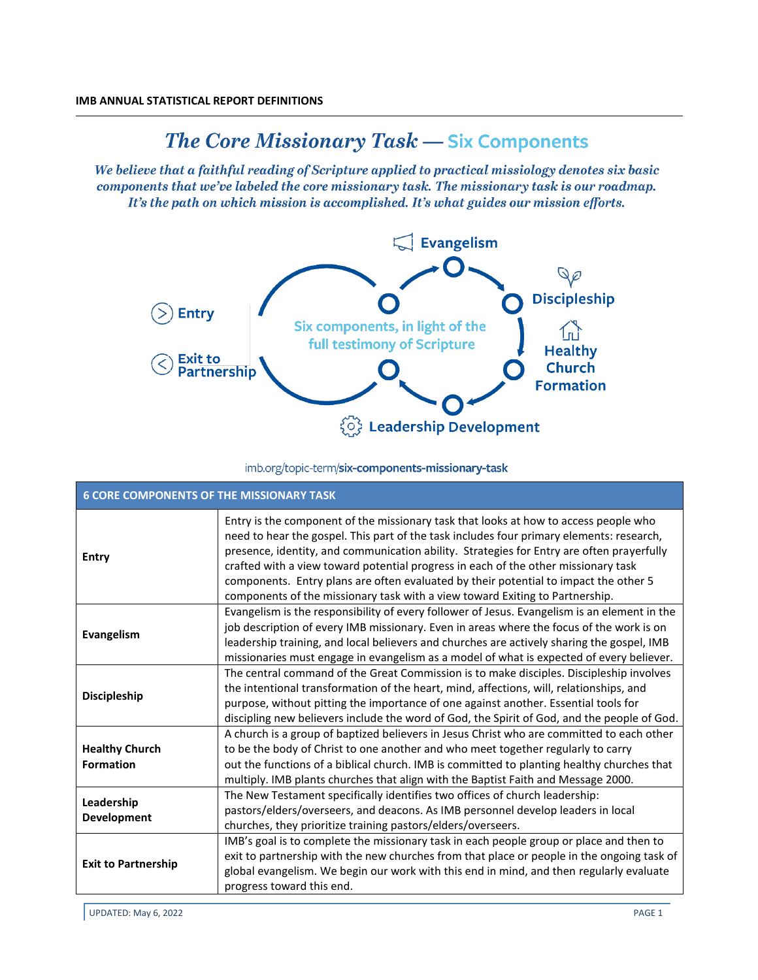## The Core Missionary Task - Six Components

We believe that a faithful reading of Scripture applied to practical missiology denotes six basic components that we've labeled the core missionary task. The missionary task is our roadmap. It's the path on which mission is accomplished. It's what guides our mission efforts.



## imb.org/topic-term/six-components-missionary-task

| <b>6 CORE COMPONENTS OF THE MISSIONARY TASK</b> |                                                                                                                                                                                                                                                                                                                                                                                                                                                                                                                                             |  |
|-------------------------------------------------|---------------------------------------------------------------------------------------------------------------------------------------------------------------------------------------------------------------------------------------------------------------------------------------------------------------------------------------------------------------------------------------------------------------------------------------------------------------------------------------------------------------------------------------------|--|
| <b>Entry</b>                                    | Entry is the component of the missionary task that looks at how to access people who<br>need to hear the gospel. This part of the task includes four primary elements: research,<br>presence, identity, and communication ability. Strategies for Entry are often prayerfully<br>crafted with a view toward potential progress in each of the other missionary task<br>components. Entry plans are often evaluated by their potential to impact the other 5<br>components of the missionary task with a view toward Exiting to Partnership. |  |
| Evangelism                                      | Evangelism is the responsibility of every follower of Jesus. Evangelism is an element in the<br>job description of every IMB missionary. Even in areas where the focus of the work is on<br>leadership training, and local believers and churches are actively sharing the gospel, IMB<br>missionaries must engage in evangelism as a model of what is expected of every believer.                                                                                                                                                          |  |
| <b>Discipleship</b>                             | The central command of the Great Commission is to make disciples. Discipleship involves<br>the intentional transformation of the heart, mind, affections, will, relationships, and<br>purpose, without pitting the importance of one against another. Essential tools for<br>discipling new believers include the word of God, the Spirit of God, and the people of God.                                                                                                                                                                    |  |
| <b>Healthy Church</b><br><b>Formation</b>       | A church is a group of baptized believers in Jesus Christ who are committed to each other<br>to be the body of Christ to one another and who meet together regularly to carry<br>out the functions of a biblical church. IMB is committed to planting healthy churches that<br>multiply. IMB plants churches that align with the Baptist Faith and Message 2000.                                                                                                                                                                            |  |
| Leadership<br><b>Development</b>                | The New Testament specifically identifies two offices of church leadership:<br>pastors/elders/overseers, and deacons. As IMB personnel develop leaders in local<br>churches, they prioritize training pastors/elders/overseers.                                                                                                                                                                                                                                                                                                             |  |
| <b>Exit to Partnership</b>                      | IMB's goal is to complete the missionary task in each people group or place and then to<br>exit to partnership with the new churches from that place or people in the ongoing task of<br>global evangelism. We begin our work with this end in mind, and then regularly evaluate<br>progress toward this end.                                                                                                                                                                                                                               |  |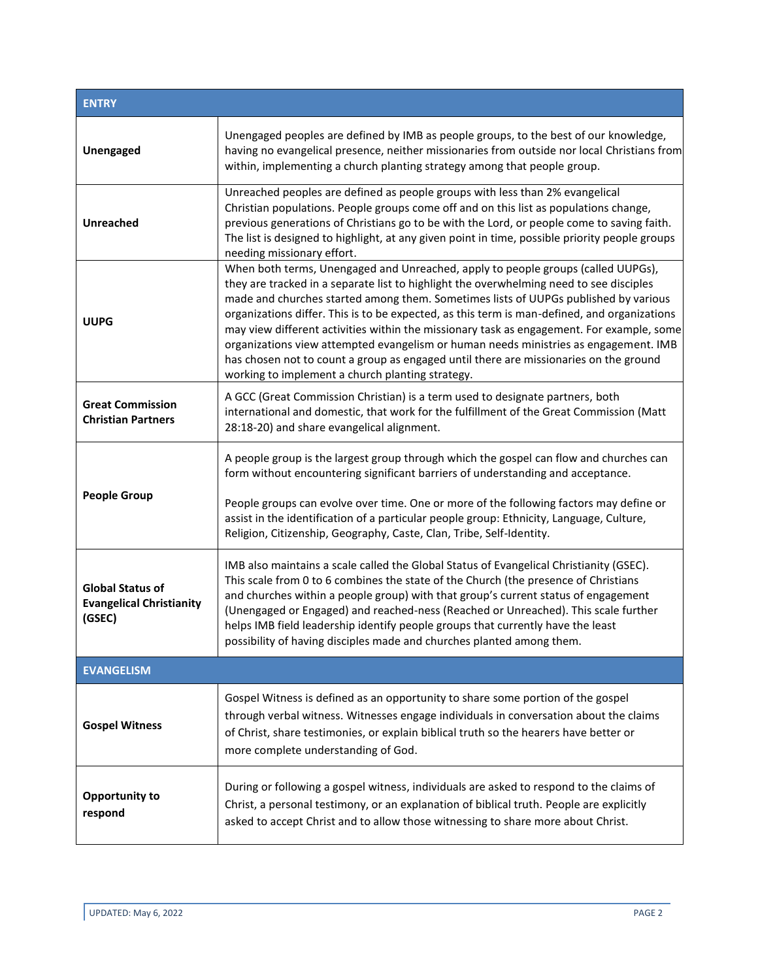| <b>ENTRY</b>                                                         |                                                                                                                                                                                                                                                                                                                                                                                                                                                                                                                                                                                                                                                                                                      |  |
|----------------------------------------------------------------------|------------------------------------------------------------------------------------------------------------------------------------------------------------------------------------------------------------------------------------------------------------------------------------------------------------------------------------------------------------------------------------------------------------------------------------------------------------------------------------------------------------------------------------------------------------------------------------------------------------------------------------------------------------------------------------------------------|--|
| Unengaged                                                            | Unengaged peoples are defined by IMB as people groups, to the best of our knowledge,<br>having no evangelical presence, neither missionaries from outside nor local Christians from<br>within, implementing a church planting strategy among that people group.                                                                                                                                                                                                                                                                                                                                                                                                                                      |  |
| <b>Unreached</b>                                                     | Unreached peoples are defined as people groups with less than 2% evangelical<br>Christian populations. People groups come off and on this list as populations change,<br>previous generations of Christians go to be with the Lord, or people come to saving faith.<br>The list is designed to highlight, at any given point in time, possible priority people groups<br>needing missionary effort.                                                                                                                                                                                                                                                                                                  |  |
| <b>UUPG</b>                                                          | When both terms, Unengaged and Unreached, apply to people groups (called UUPGs),<br>they are tracked in a separate list to highlight the overwhelming need to see disciples<br>made and churches started among them. Sometimes lists of UUPGs published by various<br>organizations differ. This is to be expected, as this term is man-defined, and organizations<br>may view different activities within the missionary task as engagement. For example, some<br>organizations view attempted evangelism or human needs ministries as engagement. IMB<br>has chosen not to count a group as engaged until there are missionaries on the ground<br>working to implement a church planting strategy. |  |
| <b>Great Commission</b><br><b>Christian Partners</b>                 | A GCC (Great Commission Christian) is a term used to designate partners, both<br>international and domestic, that work for the fulfillment of the Great Commission (Matt<br>28:18-20) and share evangelical alignment.                                                                                                                                                                                                                                                                                                                                                                                                                                                                               |  |
| <b>People Group</b>                                                  | A people group is the largest group through which the gospel can flow and churches can<br>form without encountering significant barriers of understanding and acceptance.<br>People groups can evolve over time. One or more of the following factors may define or<br>assist in the identification of a particular people group: Ethnicity, Language, Culture,<br>Religion, Citizenship, Geography, Caste, Clan, Tribe, Self-Identity.                                                                                                                                                                                                                                                              |  |
| <b>Global Status of</b><br><b>Evangelical Christianity</b><br>(GSEC) | IMB also maintains a scale called the Global Status of Evangelical Christianity (GSEC).<br>This scale from 0 to 6 combines the state of the Church (the presence of Christians<br>and churches within a people group) with that group's current status of engagement<br>(Unengaged or Engaged) and reached-ness (Reached or Unreached). This scale further<br>helps IMB field leadership identify people groups that currently have the least<br>possibility of having disciples made and churches planted among them.                                                                                                                                                                               |  |
| <b>EVANGELISM</b>                                                    |                                                                                                                                                                                                                                                                                                                                                                                                                                                                                                                                                                                                                                                                                                      |  |
| <b>Gospel Witness</b>                                                | Gospel Witness is defined as an opportunity to share some portion of the gospel<br>through verbal witness. Witnesses engage individuals in conversation about the claims<br>of Christ, share testimonies, or explain biblical truth so the hearers have better or<br>more complete understanding of God.                                                                                                                                                                                                                                                                                                                                                                                             |  |
| Opportunity to<br>respond                                            | During or following a gospel witness, individuals are asked to respond to the claims of<br>Christ, a personal testimony, or an explanation of biblical truth. People are explicitly<br>asked to accept Christ and to allow those witnessing to share more about Christ.                                                                                                                                                                                                                                                                                                                                                                                                                              |  |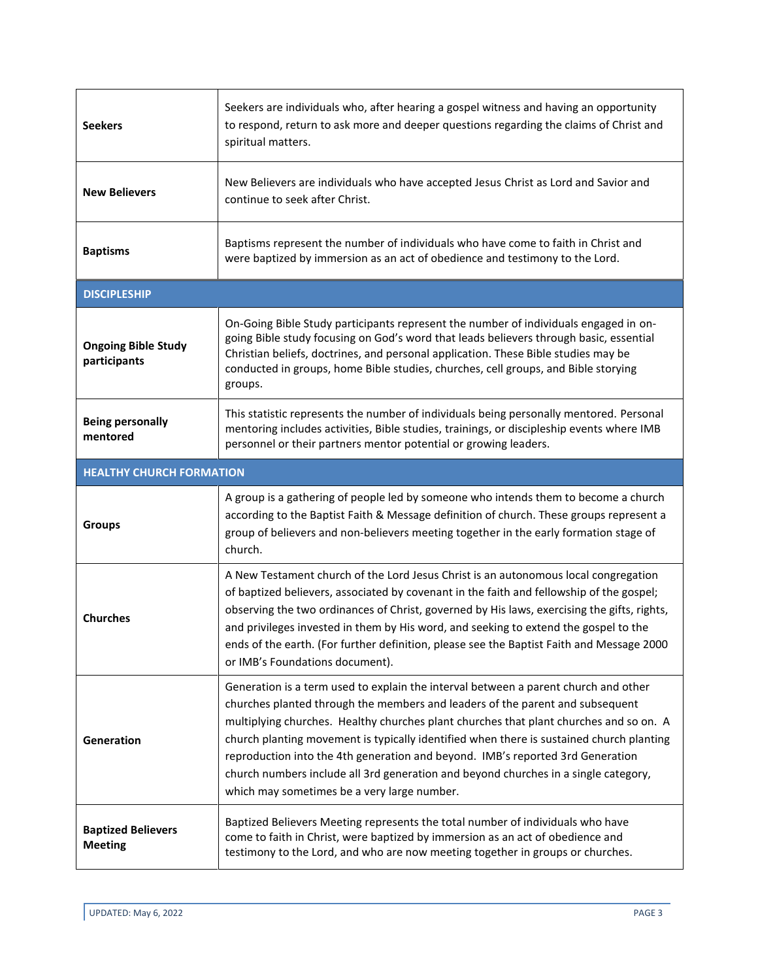| <b>Seekers</b>                              | Seekers are individuals who, after hearing a gospel witness and having an opportunity<br>to respond, return to ask more and deeper questions regarding the claims of Christ and<br>spiritual matters.                                                                                                                                                                                                                                                                                                                                                                              |  |
|---------------------------------------------|------------------------------------------------------------------------------------------------------------------------------------------------------------------------------------------------------------------------------------------------------------------------------------------------------------------------------------------------------------------------------------------------------------------------------------------------------------------------------------------------------------------------------------------------------------------------------------|--|
| <b>New Believers</b>                        | New Believers are individuals who have accepted Jesus Christ as Lord and Savior and<br>continue to seek after Christ.                                                                                                                                                                                                                                                                                                                                                                                                                                                              |  |
| <b>Baptisms</b>                             | Baptisms represent the number of individuals who have come to faith in Christ and<br>were baptized by immersion as an act of obedience and testimony to the Lord.                                                                                                                                                                                                                                                                                                                                                                                                                  |  |
| <b>DISCIPLESHIP</b>                         |                                                                                                                                                                                                                                                                                                                                                                                                                                                                                                                                                                                    |  |
| <b>Ongoing Bible Study</b><br>participants  | On-Going Bible Study participants represent the number of individuals engaged in on-<br>going Bible study focusing on God's word that leads believers through basic, essential<br>Christian beliefs, doctrines, and personal application. These Bible studies may be<br>conducted in groups, home Bible studies, churches, cell groups, and Bible storying<br>groups.                                                                                                                                                                                                              |  |
| <b>Being personally</b><br>mentored         | This statistic represents the number of individuals being personally mentored. Personal<br>mentoring includes activities, Bible studies, trainings, or discipleship events where IMB<br>personnel or their partners mentor potential or growing leaders.                                                                                                                                                                                                                                                                                                                           |  |
| <b>HEALTHY CHURCH FORMATION</b>             |                                                                                                                                                                                                                                                                                                                                                                                                                                                                                                                                                                                    |  |
| <b>Groups</b>                               | A group is a gathering of people led by someone who intends them to become a church<br>according to the Baptist Faith & Message definition of church. These groups represent a<br>group of believers and non-believers meeting together in the early formation stage of<br>church.                                                                                                                                                                                                                                                                                                 |  |
| <b>Churches</b>                             | A New Testament church of the Lord Jesus Christ is an autonomous local congregation<br>of baptized believers, associated by covenant in the faith and fellowship of the gospel;<br>observing the two ordinances of Christ, governed by His laws, exercising the gifts, rights,<br>and privileges invested in them by His word, and seeking to extend the gospel to the<br>ends of the earth. (For further definition, please see the Baptist Faith and Message 2000<br>or IMB's Foundations document).                                                                             |  |
| Generation                                  | Generation is a term used to explain the interval between a parent church and other<br>churches planted through the members and leaders of the parent and subsequent<br>multiplying churches. Healthy churches plant churches that plant churches and so on. A<br>church planting movement is typically identified when there is sustained church planting<br>reproduction into the 4th generation and beyond. IMB's reported 3rd Generation<br>church numbers include all 3rd generation and beyond churches in a single category,<br>which may sometimes be a very large number. |  |
| <b>Baptized Believers</b><br><b>Meeting</b> | Baptized Believers Meeting represents the total number of individuals who have<br>come to faith in Christ, were baptized by immersion as an act of obedience and<br>testimony to the Lord, and who are now meeting together in groups or churches.                                                                                                                                                                                                                                                                                                                                 |  |